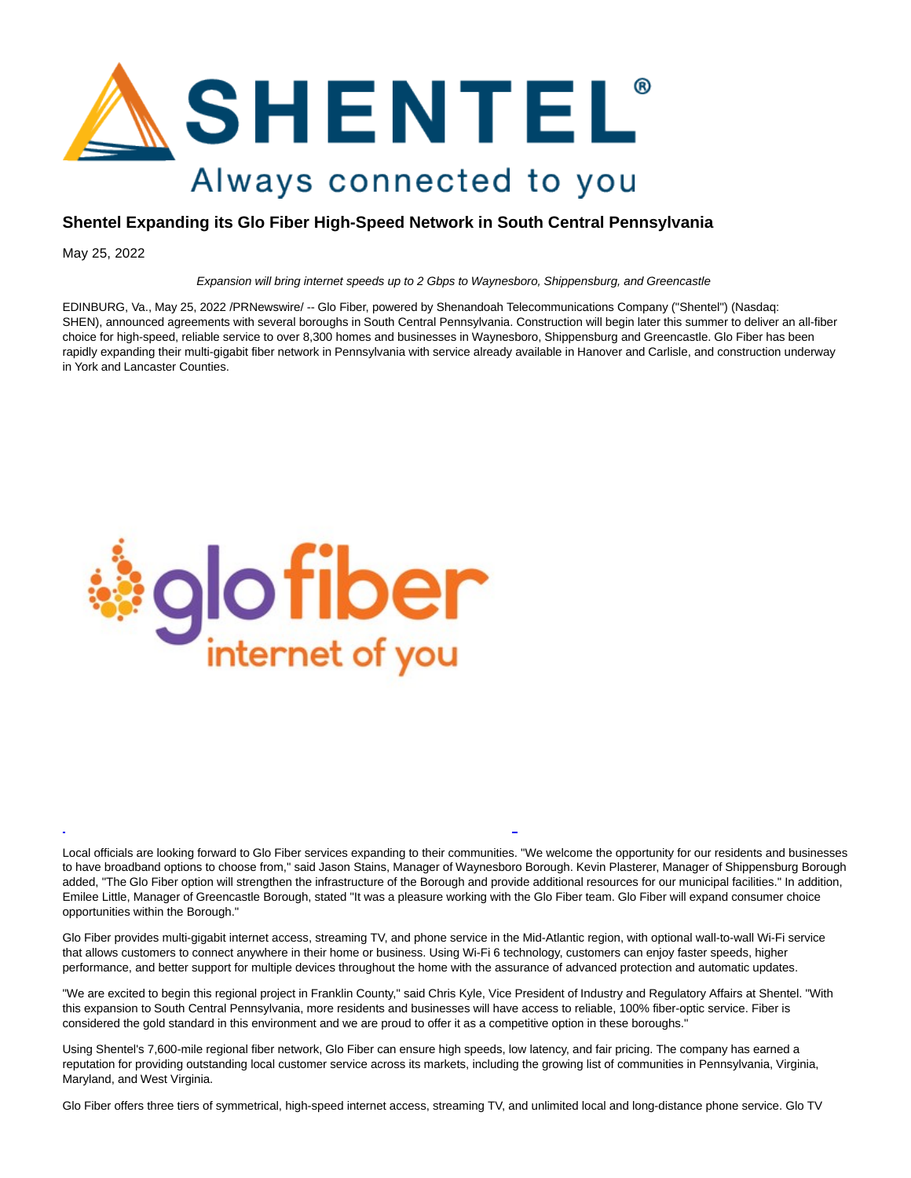

## **Shentel Expanding its Glo Fiber High-Speed Network in South Central Pennsylvania**

May 25, 2022

Expansion will bring internet speeds up to 2 Gbps to Waynesboro, Shippensburg, and Greencastle

EDINBURG, Va., May 25, 2022 /PRNewswire/ -- Glo Fiber, powered by Shenandoah Telecommunications Company ("Shentel") (Nasdaq: SHEN), announced agreements with several boroughs in South Central Pennsylvania. Construction will begin later this summer to deliver an all-fiber choice for high-speed, reliable service to over 8,300 homes and businesses in Waynesboro, Shippensburg and Greencastle. Glo Fiber has been rapidly expanding their multi-gigabit fiber network in Pennsylvania with service already available in Hanover and Carlisle, and construction underway in York and Lancaster Counties.



Local officials are looking forward to Glo Fiber services expanding to their communities. "We welcome the opportunity for our residents and businesses to have broadband options to choose from," said Jason Stains, Manager of Waynesboro Borough. Kevin Plasterer, Manager of Shippensburg Borough added, "The Glo Fiber option will strengthen the infrastructure of the Borough and provide additional resources for our municipal facilities." In addition, Emilee Little, Manager of Greencastle Borough, stated "It was a pleasure working with the Glo Fiber team. Glo Fiber will expand consumer choice opportunities within the Borough."

L

Glo Fiber provides multi-gigabit internet access, streaming TV, and phone service in the Mid-Atlantic region, with optional wall-to-wall Wi-Fi service that allows customers to connect anywhere in their home or business. Using Wi-Fi 6 technology, customers can enjoy faster speeds, higher performance, and better support for multiple devices throughout the home with the assurance of advanced protection and automatic updates.

"We are excited to begin this regional project in Franklin County," said Chris Kyle, Vice President of Industry and Regulatory Affairs at Shentel. "With this expansion to South Central Pennsylvania, more residents and businesses will have access to reliable, 100% fiber-optic service. Fiber is considered the gold standard in this environment and we are proud to offer it as a competitive option in these boroughs."

Using Shentel's 7,600-mile regional fiber network, Glo Fiber can ensure high speeds, low latency, and fair pricing. The company has earned a reputation for providing outstanding local customer service across its markets, including the growing list of communities in Pennsylvania, Virginia, Maryland, and West Virginia.

Glo Fiber offers three tiers of symmetrical, high-speed internet access, streaming TV, and unlimited local and long-distance phone service. Glo TV